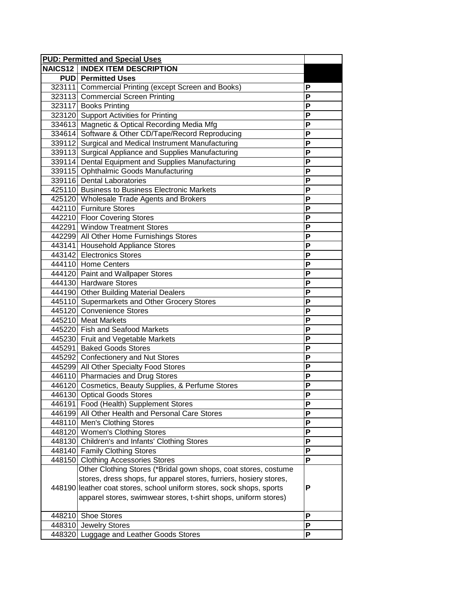| <b>PUD: Permitted and Special Uses</b>                                |   |
|-----------------------------------------------------------------------|---|
| <b>NAICS12   INDEX ITEM DESCRIPTION</b>                               |   |
| <b>PUD</b> Permitted Uses                                             |   |
| 323111 Commercial Printing (except Screen and Books)                  | P |
| 323113 Commercial Screen Printing                                     | P |
| 323117 Books Printing                                                 | P |
| 323120 Support Activities for Printing                                | P |
| 334613 Magnetic & Optical Recording Media Mfg                         | P |
| 334614 Software & Other CD/Tape/Record Reproducing                    | P |
| 339112 Surgical and Medical Instrument Manufacturing                  | P |
| 339113 Surgical Appliance and Supplies Manufacturing                  | P |
| 339114 Dental Equipment and Supplies Manufacturing                    | P |
| 339115 Ophthalmic Goods Manufacturing                                 | P |
| 339116 Dental Laboratories                                            | P |
| 425110 Business to Business Electronic Markets                        | P |
| 425120 Wholesale Trade Agents and Brokers                             | P |
| 442110 Furniture Stores                                               | P |
| 442210 Floor Covering Stores                                          | P |
| 442291 Window Treatment Stores                                        | P |
| 442299 All Other Home Furnishings Stores                              | P |
| 443141 Household Appliance Stores                                     | P |
| 443142 Electronics Stores                                             | P |
| 444110 Home Centers                                                   | P |
| 444120 Paint and Wallpaper Stores                                     | P |
| 444130 Hardware Stores                                                | P |
| 444190 Other Building Material Dealers                                | P |
| 445110 Supermarkets and Other Grocery Stores                          | P |
| 445120 Convenience Stores                                             | P |
| 445210 Meat Markets                                                   | P |
| 445220 Fish and Seafood Markets                                       | P |
| 445230 Fruit and Vegetable Markets                                    | P |
| 445291 Baked Goods Stores                                             | P |
| 445292 Confectionery and Nut Stores                                   | P |
| 445299 All Other Specialty Food Stores                                | P |
| 446110 Pharmacies and Drug Stores                                     | P |
| 446120 Cosmetics, Beauty Supplies, & Perfume Stores                   | P |
| 446130 Optical Goods Stores                                           | ٢ |
| 446191 Food (Health) Supplement Stores                                | P |
| 446199 All Other Health and Personal Care Stores                      | P |
| 448110 Men's Clothing Stores                                          | P |
| 448120 Women's Clothing Stores                                        | P |
| 448130 Children's and Infants' Clothing Stores                        | P |
| 448140 Family Clothing Stores                                         | P |
| 448150 Clothing Accessories Stores                                    | P |
| Other Clothing Stores (*Bridal gown shops, coat stores, costume       |   |
| stores, dress shops, fur apparel stores, furriers, hosiery stores,    |   |
| 448190 leather coat stores, school uniform stores, sock shops, sports | P |
| apparel stores, swimwear stores, t-shirt shops, uniform stores)       |   |
|                                                                       |   |
| 448210 Shoe Stores                                                    | P |
| 448310 Jewelry Stores                                                 | P |
| 448320 Luggage and Leather Goods Stores                               | P |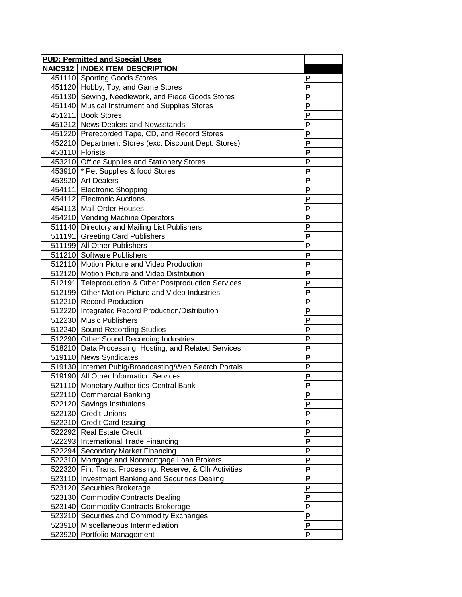| <b>PUD: Permitted and Special Uses</b>                   |                         |
|----------------------------------------------------------|-------------------------|
| <b>NAICS12   INDEX ITEM DESCRIPTION</b>                  |                         |
| 451110 Sporting Goods Stores                             | P                       |
| 451120 Hobby, Toy, and Game Stores                       | P                       |
| 451130 Sewing, Needlework, and Piece Goods Stores        | P                       |
| 451140 Musical Instrument and Supplies Stores            | P                       |
| 451211 Book Stores                                       | P                       |
| 451212 News Dealers and Newsstands                       | P                       |
| 451220 Prerecorded Tape, CD, and Record Stores           | P                       |
| 452210 Department Stores (exc. Discount Dept. Stores)    | P                       |
| 453110 Florists                                          | P                       |
| 453210 Office Supplies and Stationery Stores             | P                       |
| 453910 * Pet Supplies & food Stores                      | P                       |
| 453920 Art Dealers                                       | P                       |
| 454111 Electronic Shopping                               | P                       |
| 454112 Electronic Auctions                               | P                       |
| 454113 Mail-Order Houses                                 | P                       |
| 454210 Vending Machine Operators                         | P                       |
| 511140 Directory and Mailing List Publishers             | $\overline{\mathsf{P}}$ |
| 511191 Greeting Card Publishers                          | P                       |
| 511199 All Other Publishers                              | P                       |
| 511210 Software Publishers                               | P                       |
| 512110 Motion Picture and Video Production               | P                       |
| 512120 Motion Picture and Video Distribution             | P                       |
| 512191 Teleproduction & Other Postproduction Services    | P                       |
| 512199 Other Motion Picture and Video Industries         | P                       |
| 512210 Record Production                                 | $\overline{\mathsf{P}}$ |
| 512220 Integrated Record Production/Distribution         | P                       |
| 512230 Music Publishers                                  | P                       |
| 512240 Sound Recording Studios                           | P                       |
| 512290 Other Sound Recording Industries                  | P                       |
| 518210 Data Processing, Hosting, and Related Services    | P                       |
| 519110 News Syndicates                                   | P                       |
| 519130 Internet Publg/Broadcasting/Web Search Portals    | P                       |
| 519190 All Other Information Services                    | $\overline{P}$          |
| 521110 Monetary Authorities-Central Bank                 | P                       |
| 522110 Commercial Banking                                | ۲                       |
| 522120 Savings Institutions                              | P                       |
| 522130 Credit Unions                                     | P                       |
| 522210 Credit Card Issuing                               | P                       |
| 522292 Real Estate Credit                                | P                       |
| 522293 International Trade Financing                     | P                       |
| 522294 Secondary Market Financing                        | P                       |
| 522310 Mortgage and Nonmortgage Loan Brokers             | P                       |
| 522320 Fin. Trans. Processing, Reserve, & Clh Activities | P                       |
| 523110 Investment Banking and Securities Dealing         | P                       |
| 523120 Securities Brokerage                              | P                       |
| 523130 Commodity Contracts Dealing                       | P                       |
| 523140 Commodity Contracts Brokerage                     | P                       |
| 523210 Securities and Commodity Exchanges                | P                       |
| 523910 Miscellaneous Intermediation                      | P                       |
| 523920 Portfolio Management                              | $\overline{P}$          |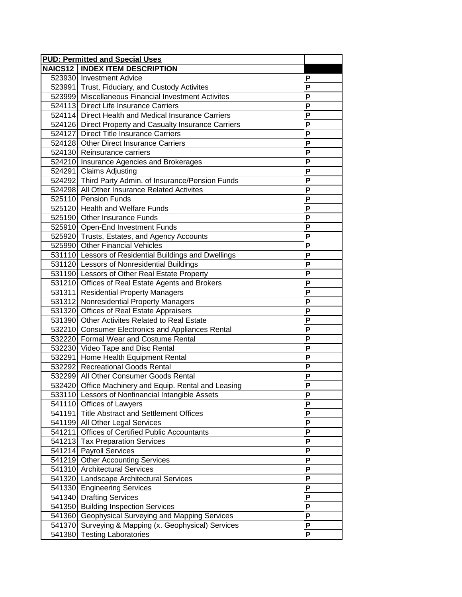| <b>PUD: Permitted and Special Uses</b>                 |                         |
|--------------------------------------------------------|-------------------------|
| <b>NAICS12   INDEX ITEM DESCRIPTION</b>                |                         |
| 523930 Investment Advice                               | P                       |
| 523991 Trust, Fiduciary, and Custody Activites         | Ρ                       |
| 523999 Miscellaneous Financial Investment Activites    | P                       |
| 524113 Direct Life Insurance Carriers                  | P                       |
| 524114 Direct Health and Medical Insurance Carriers    | P                       |
| 524126 Direct Property and Casualty Insurance Carriers | $\overline{\mathsf{P}}$ |
| 524127 Direct Title Insurance Carriers                 | $\overline{\mathsf{P}}$ |
| 524128 Other Direct Insurance Carriers                 | P                       |
| 524130 Reinsurance carriers                            | P                       |
| 524210 Insurance Agencies and Brokerages               | P                       |
| 524291 Claims Adjusting                                | P                       |
| 524292 Third Party Admin. of Insurance/Pension Funds   | P                       |
| 524298 All Other Insurance Related Activites           | P                       |
| 525110 Pension Funds                                   | P                       |
| 525120 Health and Welfare Funds                        | P                       |
| 525190 Other Insurance Funds                           | $\overline{\mathsf{P}}$ |
| 525910 Open-End Investment Funds                       | P                       |
| 525920 Trusts, Estates, and Agency Accounts            | P                       |
| 525990 Other Financial Vehicles                        | P                       |
| 531110 Lessors of Residential Buildings and Dwellings  | P                       |
| 531120 Lessors of Nonresidential Buildings             | P                       |
| 531190 Lessors of Other Real Estate Property           | P                       |
| 531210 Offices of Real Estate Agents and Brokers       | P                       |
| 531311 Residential Property Managers                   | $\overline{\mathsf{P}}$ |
| 531312 Nonresidential Property Managers                | P                       |
| 531320 Offices of Real Estate Appraisers               | P                       |
| 531390 Other Activites Related to Real Estate          | P                       |
| 532210 Consumer Electronics and Appliances Rental      | P                       |
| 532220 Formal Wear and Costume Rental                  | P                       |
| 532230 Video Tape and Disc Rental                      | P                       |
| 532291 Home Health Equipment Rental                    | P                       |
| 532292 Recreational Goods Rental                       | $\overline{P}$          |
| 532299 All Other Consumer Goods Rental                 | P                       |
| 532420 Office Machinery and Equip. Rental and Leasing  | P                       |
| 533110 Lessors of Nonfinancial Intangible Assets       | P                       |
| 541110 Offices of Lawyers                              | P                       |
| 541191 Title Abstract and Settlement Offices           | P                       |
| 541199 All Other Legal Services                        | P                       |
| 541211 Offices of Certified Public Accountants         | P                       |
| 541213 Tax Preparation Services                        | P                       |
| 541214 Payroll Services                                | P                       |
| 541219 Other Accounting Services                       | P                       |
| 541310 Architectural Services                          | P                       |
| 541320 Landscape Architectural Services                | P                       |
| 541330 Engineering Services                            | P                       |
| 541340 Drafting Services                               | P                       |
| 541350 Building Inspection Services                    | P                       |
| 541360 Geophysical Surveying and Mapping Services      | P                       |
| 541370 Surveying & Mapping (x. Geophysical) Services   | $\overline{P}$          |
| 541380 Testing Laboratories                            | P                       |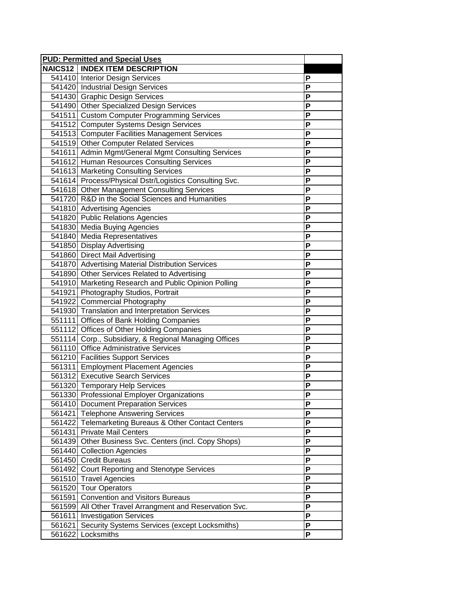|        | <b>PUD: Permitted and Special Uses</b>                  |   |
|--------|---------------------------------------------------------|---|
|        | <b>NAICS12   INDEX ITEM DESCRIPTION</b>                 |   |
|        | 541410 Interior Design Services                         | P |
|        | 541420 Industrial Design Services                       | P |
|        | 541430 Graphic Design Services                          | P |
|        | 541490 Other Specialized Design Services                | P |
|        | 541511 Custom Computer Programming Services             | P |
|        | 541512 Computer Systems Design Services                 | P |
|        | 541513 Computer Facilities Management Services          | P |
|        | 541519 Other Computer Related Services                  | P |
|        | 541611 Admin Mgmt/General Mgmt Consulting Services      | P |
|        | 541612 Human Resources Consulting Services              | P |
|        | 541613 Marketing Consulting Services                    | P |
|        | 541614 Process/Physical Dstr/Logistics Consulting Svc.  | P |
|        | 541618 Other Management Consulting Services             | P |
|        | 541720 R&D in the Social Sciences and Humanities        | P |
|        | 541810 Advertising Agencies                             | P |
|        | 541820 Public Relations Agencies                        | P |
|        | 541830 Media Buying Agencies                            | P |
|        | 541840 Media Representatives                            | P |
|        | 541850 Display Advertising                              | P |
|        | 541860 Direct Mail Advertising                          | P |
|        | 541870 Advertising Material Distribution Services       | P |
|        | 541890 Other Services Related to Advertising            | P |
|        | 541910 Marketing Research and Public Opinion Polling    | P |
|        | 541921 Photography Studios, Portrait                    | P |
|        | 541922 Commercial Photography                           | P |
|        | 541930 Translation and Interpretation Services          | P |
|        | 551111 Offices of Bank Holding Companies                | P |
|        | 551112 Offices of Other Holding Companies               | P |
|        | 551114 Corp., Subsidiary, & Regional Managing Offices   | P |
|        | 561110 Office Administrative Services                   | P |
|        | 561210 Facilities Support Services                      | P |
|        | 561311 Employment Placement Agencies                    | P |
|        | 561312 Executive Search Services                        | P |
|        | 561320 Temporary Help Services                          | P |
|        | 561330 Professional Employer Organizations              | Р |
|        | 561410 Document Preparation Services                    | P |
|        | 561421 Telephone Answering Services                     | P |
|        | 561422 Telemarketing Bureaus & Other Contact Centers    | P |
|        | 561431 Private Mail Centers                             | P |
|        | 561439 Other Business Svc. Centers (incl. Copy Shops)   | P |
|        | 561440 Collection Agencies                              | P |
|        | 561450 Credit Bureaus                                   | P |
|        | 561492 Court Reporting and Stenotype Services           | P |
|        | 561510 Travel Agencies                                  | P |
| 561520 | <b>Tour Operators</b>                                   | P |
| 561591 | <b>Convention and Visitors Bureaus</b>                  | P |
|        | 561599 All Other Travel Arrangment and Reservation Svc. | P |
| 561611 | <b>Investigation Services</b>                           | P |
| 561621 | Security Systems Services (except Locksmiths)           | P |
| 561622 | Locksmiths                                              | P |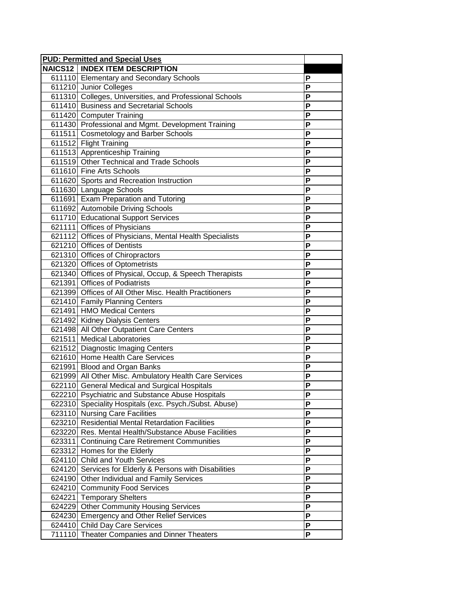| <b>PUD: Permitted and Special Uses</b>                  |                         |
|---------------------------------------------------------|-------------------------|
| <b>NAICS12   INDEX ITEM DESCRIPTION</b>                 |                         |
| 611110 Elementary and Secondary Schools                 | P                       |
| 611210 Junior Colleges                                  | P                       |
| 611310 Colleges, Universities, and Professional Schools | P                       |
| 611410 Business and Secretarial Schools                 | P                       |
| 611420 Computer Training                                | P                       |
| 611430 Professional and Mgmt. Development Training      | P                       |
| 611511 Cosmetology and Barber Schools                   | $\overline{\mathsf{P}}$ |
| 611512 Flight Training                                  | P                       |
| 611513 Apprenticeship Training                          | P                       |
| 611519 Other Technical and Trade Schools                | P                       |
| 611610 Fine Arts Schools                                | P                       |
| 611620 Sports and Recreation Instruction                | P                       |
| 611630 Language Schools                                 | P                       |
| 611691 Exam Preparation and Tutoring                    | P                       |
| 611692 Automobile Driving Schools                       | P                       |
| 611710 Educational Support Services                     | P                       |
| 621111 Offices of Physicians                            | $\overline{\mathsf{P}}$ |
| 621112 Offices of Physicians, Mental Health Specialists | P                       |
| 621210 Offices of Dentists                              | P                       |
| 621310 Offices of Chiropractors                         | P                       |
| 621320 Offices of Optometrists                          | P                       |
| 621340 Offices of Physical, Occup, & Speech Therapists  | P                       |
| 621391 Offices of Podiatrists                           | P                       |
| 621399 Offices of All Other Misc. Health Practitioners  | P                       |
| 621410 Family Planning Centers                          | $\overline{\mathsf{P}}$ |
| 621491 HMO Medical Centers                              | P                       |
| 621492 Kidney Dialysis Centers                          | P                       |
| 621498 All Other Outpatient Care Centers                | P                       |
| 621511 Medical Laboratories                             | P                       |
| 621512 Diagnostic Imaging Centers                       | P                       |
| 621610 Home Health Care Services                        | P                       |
| 621991 Blood and Organ Banks                            | P                       |
| 621999 All Other Misc. Ambulatory Health Care Services  | $\overline{P}$          |
| 622110 General Medical and Surgical Hospitals           | P                       |
| 622210 Psychiatric and Substance Abuse Hospitals        | P                       |
| 622310 Speciality Hospitals (exc. Psych./Subst. Abuse)  | P                       |
| 623110 Nursing Care Facilities                          | P                       |
| 623210 Residential Mental Retardation Facilities        | P                       |
| 623220 Res. Mental Health/Substance Abuse Facilities    | P                       |
| 623311 Continuing Care Retirement Communities           | P                       |
| 623312 Homes for the Elderly                            | P                       |
| 624110 Child and Youth Services                         | P                       |
| 624120 Services for Elderly & Persons with Disabilities | P                       |
| 624190 Other Individual and Family Services             | P                       |
| 624210 Community Food Services                          | P                       |
| 624221 Temporary Shelters                               | P                       |
| 624229 Other Community Housing Services                 | P                       |
| 624230 Emergency and Other Relief Services              | P                       |
| 624410 Child Day Care Services                          | P                       |
| 711110 Theater Companies and Dinner Theaters            | $\overline{P}$          |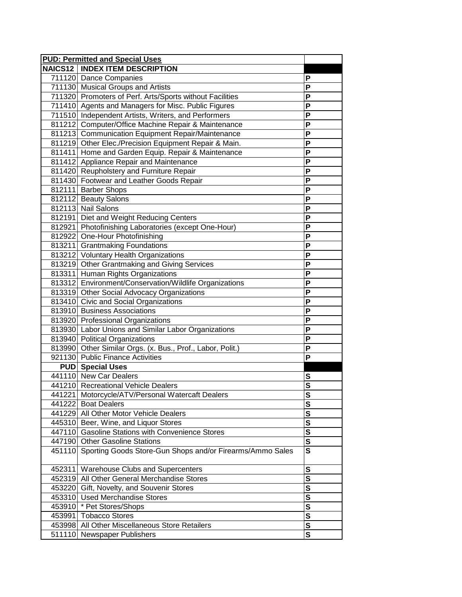|        | <b>PUD: Permitted and Special Uses</b>                           |                         |
|--------|------------------------------------------------------------------|-------------------------|
|        | <b>NAICS12   INDEX ITEM DESCRIPTION</b>                          |                         |
|        | 711120 Dance Companies                                           | P                       |
|        | 711130 Musical Groups and Artists                                | Ρ                       |
|        | 711320 Promoters of Perf. Arts/Sports without Facilities         | P                       |
|        | 711410 Agents and Managers for Misc. Public Figures              | P                       |
|        | 711510 Independent Artists, Writers, and Performers              | P                       |
|        | 811212 Computer/Office Machine Repair & Maintenance              | P                       |
|        | 811213 Communication Equipment Repair/Maintenance                | $\overline{\mathsf{P}}$ |
|        | 811219 Other Elec./Precision Equipment Repair & Main.            | P                       |
|        | 811411 Home and Garden Equip. Repair & Maintenance               | P                       |
|        | 811412 Appliance Repair and Maintenance                          | P                       |
|        | 811420 Reupholstery and Furniture Repair                         | P                       |
|        | 811430 Footwear and Leather Goods Repair                         | P                       |
|        | 812111 Barber Shops                                              | P                       |
|        | 812112 Beauty Salons                                             | P                       |
|        | 812113 Nail Salons                                               | P                       |
|        | 812191 Diet and Weight Reducing Centers                          | $\overline{\mathsf{P}}$ |
|        | 812921 Photofinishing Laboratories (except One-Hour)             | P                       |
|        | 812922 One-Hour Photofinishing                                   | P                       |
|        | 813211 Grantmaking Foundations                                   | P                       |
|        | 813212 Voluntary Health Organizations                            | P                       |
|        | 813219 Other Grantmaking and Giving Services                     | P                       |
|        | 813311 Human Rights Organizations                                | P                       |
|        | 813312 Environment/Conservation/Wildlife Organizations           | P                       |
|        | 813319 Other Social Advocacy Organizations                       | $\overline{\mathsf{P}}$ |
|        | 813410 Civic and Social Organizations                            | P                       |
|        | 813910 Business Associations                                     | P                       |
|        | 813920 Professional Organizations                                | P                       |
|        | 813930 Labor Unions and Similar Labor Organizations              | P                       |
|        | 813940 Political Organizations                                   | P                       |
|        | 813990 Other Similar Orgs. (x. Bus., Prof., Labor, Polit.)       | P                       |
|        | 921130 Public Finance Activities                                 | P                       |
|        | <b>PUD</b> Special Uses                                          |                         |
|        | 441110 New Car Dealers                                           | $\overline{\mathbf{s}}$ |
|        | 441210 Recreational Vehicle Dealers                              | $\overline{\mathbf{s}}$ |
|        | 441221   Motorcycle/ATV/Personal Watercaft Dealers               | <u>১</u>                |
|        | 441222 Boat Dealers                                              | S                       |
|        | 441229 All Other Motor Vehicle Dealers                           | S                       |
|        | 445310 Beer, Wine, and Liquor Stores                             | S                       |
|        | 447110 Gasoline Stations with Convenience Stores                 | $\mathbf s$             |
|        | 447190 Other Gasoline Stations                                   | $\mathbf s$             |
|        | 451110 Sporting Goods Store-Gun Shops and/or Firearms/Ammo Sales | $\mathbf{s}$            |
| 452311 | Warehouse Clubs and Supercenters                                 | S                       |
| 452319 | All Other General Merchandise Stores                             | S                       |
|        | 453220 Gift, Novelty, and Souvenir Stores                        | S                       |
|        | 453310 Used Merchandise Stores                                   | $\mathbf s$             |
| 453910 | * Pet Stores/Shops                                               | S                       |
| 453991 | <b>Tobacco Stores</b>                                            | $\overline{\mathbf{s}}$ |
|        | 453998 All Other Miscellaneous Store Retailers                   | $\overline{\mathbf{s}}$ |
|        | 511110 Newspaper Publishers                                      | $\overline{\mathbf{s}}$ |
|        |                                                                  |                         |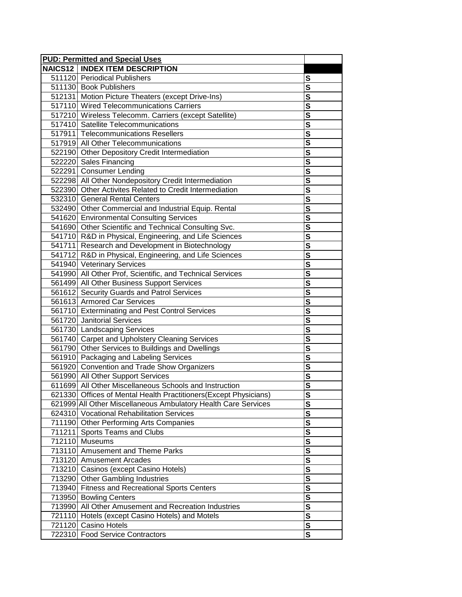| <b>PUD: Permitted and Special Uses</b>                            |                         |
|-------------------------------------------------------------------|-------------------------|
| <b>NAICS12   INDEX ITEM DESCRIPTION</b>                           |                         |
| 511120 Periodical Publishers                                      | S                       |
| 511130 Book Publishers                                            | $\frac{s}{s}$           |
| 512131   Motion Picture Theaters (except Drive-Ins)               |                         |
| 517110 Wired Telecommunications Carriers                          | $\overline{\mathbf{s}}$ |
| 517210 Wireless Telecomm. Carriers (except Satellite)             | $\overline{\mathbf{s}}$ |
| 517410 Satellite Telecommunications                               | $\frac{s}{s}$           |
| 517911 Telecommunications Resellers                               |                         |
| 517919 All Other Telecommunications                               | $\overline{\mathsf{s}}$ |
| 522190 Other Depository Credit Intermediation                     | $\overline{\mathbf{s}}$ |
| 522220 Sales Financing                                            | S                       |
| 522291 Consumer Lending                                           | S                       |
| 522298 All Other Nondepository Credit Intermediation              | S                       |
| 522390 Other Activites Related to Credit Intermediation           | $\overline{\mathbf{s}}$ |
| 532310 General Rental Centers                                     | $\overline{\mathbf{s}}$ |
| 532490 Other Commercial and Industrial Equip. Rental              | $\overline{\mathbf{s}}$ |
| 541620 Environmental Consulting Services                          | <u>s</u>                |
| 541690 Other Scientific and Technical Consulting Svc.             | $\overline{\mathsf{s}}$ |
| 541710 R&D in Physical, Engineering, and Life Sciences            | $\overline{\mathbf{s}}$ |
| 541711 Research and Development in Biotechnology                  | $\frac{s}{s}$           |
| 541712 R&D in Physical, Engineering, and Life Sciences            |                         |
| 541940 Veterinary Services                                        | $\overline{\mathbf{s}}$ |
| 541990 All Other Prof, Scientific, and Technical Services         | $\overline{\mathbf{s}}$ |
| 561499 All Other Business Support Services                        | $\frac{s}{s}$           |
| 561612 Security Guards and Patrol Services                        |                         |
| 561613 Armored Car Services                                       | $\overline{\mathbf{s}}$ |
| 561710 Exterminating and Pest Control Services                    | $\overline{\mathbf{s}}$ |
| 561720 Janitorial Services                                        | S                       |
| 561730 Landscaping Services                                       | S                       |
| 561740 Carpet and Upholstery Cleaning Services                    | S                       |
| 561790 Other Services to Buildings and Dwellings                  | $\overline{\mathbf{s}}$ |
| 561910 Packaging and Labeling Services                            | $\overline{\mathbf{s}}$ |
| 561920 Convention and Trade Show Organizers                       |                         |
| 561990 All Other Support Services                                 | $\overline{\mathbf{s}}$ |
| 611699 All Other Miscellaneous Schools and Instruction            | $\overline{\mathbf{s}}$ |
| 621330 Offices of Mental Health Practitioners (Except Physicians) | <u>১</u>                |
| 621999 All Other Miscellaneous Ambulatory Health Care Services    | S                       |
| 624310 Vocational Rehabilitation Services                         | $\overline{\mathbf{s}}$ |
| 711190 Other Performing Arts Companies                            | $\overline{\mathbf{s}}$ |
| 711211 Sports Teams and Clubs                                     | $\overline{\mathbf{s}}$ |
| 712110 Museums                                                    | $\overline{\mathbf{s}}$ |
| 713110 Amusement and Theme Parks                                  | $\overline{\mathbf{s}}$ |
| 713120 Amusement Arcades                                          | $\mathbf s$             |
| 713210 Casinos (except Casino Hotels)                             | S                       |
| 713290 Other Gambling Industries                                  | S                       |
| 713940 Fitness and Recreational Sports Centers                    | S                       |
| 713950 Bowling Centers                                            | $\mathbf s$             |
| 713990 All Other Amusement and Recreation Industries              | $\mathbf s$             |
| 721110 Hotels (except Casino Hotels) and Motels                   | $\overline{\mathbf{s}}$ |
| 721120 Casino Hotels                                              | $\overline{\mathbf{s}}$ |
| 722310 Food Service Contractors                                   | $\overline{\mathbf{s}}$ |